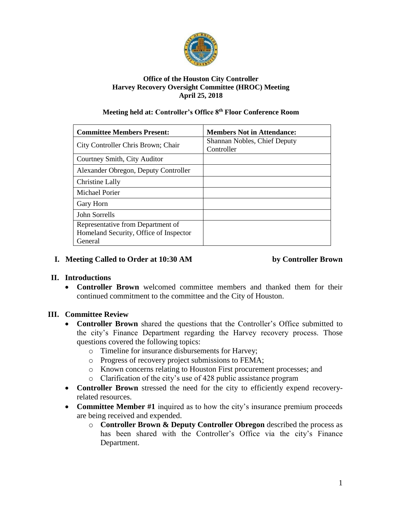

#### **Office of the Houston City Controller Harvey Recovery Oversight Committee (HROC) Meeting April 25, 2018**

#### **Meeting held at: Controller's Office 8th Floor Conference Room**

| <b>Committee Members Present:</b>      | <b>Members Not in Attendance:</b>          |
|----------------------------------------|--------------------------------------------|
| City Controller Chris Brown; Chair     | Shannan Nobles, Chief Deputy<br>Controller |
| Courtney Smith, City Auditor           |                                            |
| Alexander Obregon, Deputy Controller   |                                            |
| Christine Lally                        |                                            |
| <b>Michael Porier</b>                  |                                            |
| Gary Horn                              |                                            |
| John Sorrells                          |                                            |
| Representative from Department of      |                                            |
| Homeland Security, Office of Inspector |                                            |
| General                                |                                            |

#### **I. Meeting Called to Order at 10:30 AM by Controller Brown**

### **II. Introductions**

 **Controller Brown** welcomed committee members and thanked them for their continued commitment to the committee and the City of Houston.

# **III. Committee Review**

- **Controller Brown** shared the questions that the Controller's Office submitted to the city's Finance Department regarding the Harvey recovery process. Those questions covered the following topics:
	- o Timeline for insurance disbursements for Harvey;
	- o Progress of recovery project submissions to FEMA;
	- o Known concerns relating to Houston First procurement processes; and
	- o Clarification of the city's use of 428 public assistance program
- **Controller Brown** stressed the need for the city to efficiently expend recoveryrelated resources.
- **Committee Member #1** inquired as to how the city's insurance premium proceeds are being received and expended.
	- o **Controller Brown & Deputy Controller Obregon** described the process as has been shared with the Controller's Office via the city's Finance Department.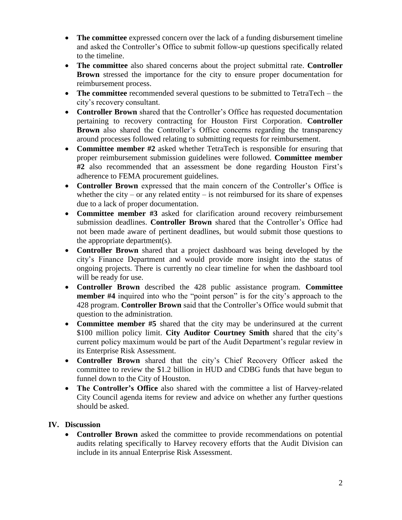- **The committee** expressed concern over the lack of a funding disbursement timeline and asked the Controller's Office to submit follow-up questions specifically related to the timeline.
- **The committee** also shared concerns about the project submittal rate. **Controller Brown** stressed the importance for the city to ensure proper documentation for reimbursement process.
- **The committee** recommended several questions to be submitted to TetraTech the city's recovery consultant.
- **Controller Brown** shared that the Controller's Office has requested documentation pertaining to recovery contracting for Houston First Corporation. **Controller Brown** also shared the Controller's Office concerns regarding the transparency around processes followed relating to submitting requests for reimbursement.
- **Committee member #2** asked whether TetraTech is responsible for ensuring that proper reimbursement submission guidelines were followed. **Committee member #2** also recommended that an assessment be done regarding Houston First's adherence to FEMA procurement guidelines.
- **Controller Brown** expressed that the main concern of the Controller's Office is whether the city – or any related entity – is not reimbursed for its share of expenses due to a lack of proper documentation.
- **Committee member #3** asked for clarification around recovery reimbursement submission deadlines. **Controller Brown** shared that the Controller's Office had not been made aware of pertinent deadlines, but would submit those questions to the appropriate department(s).
- **Controller Brown** shared that a project dashboard was being developed by the city's Finance Department and would provide more insight into the status of ongoing projects. There is currently no clear timeline for when the dashboard tool will be ready for use.
- **Controller Brown** described the 428 public assistance program. **Committee member #4** inquired into who the "point person" is for the city's approach to the 428 program. **Controller Brown** said that the Controller's Office would submit that question to the administration.
- **Committee member #5** shared that the city may be underinsured at the current \$100 million policy limit. **City Auditor Courtney Smith** shared that the city's current policy maximum would be part of the Audit Department's regular review in its Enterprise Risk Assessment.
- **Controller Brown** shared that the city's Chief Recovery Officer asked the committee to review the \$1.2 billion in HUD and CDBG funds that have begun to funnel down to the City of Houston.
- **The Controller's Office** also shared with the committee a list of Harvey-related City Council agenda items for review and advice on whether any further questions should be asked.

# **IV. Discussion**

 **Controller Brown** asked the committee to provide recommendations on potential audits relating specifically to Harvey recovery efforts that the Audit Division can include in its annual Enterprise Risk Assessment.